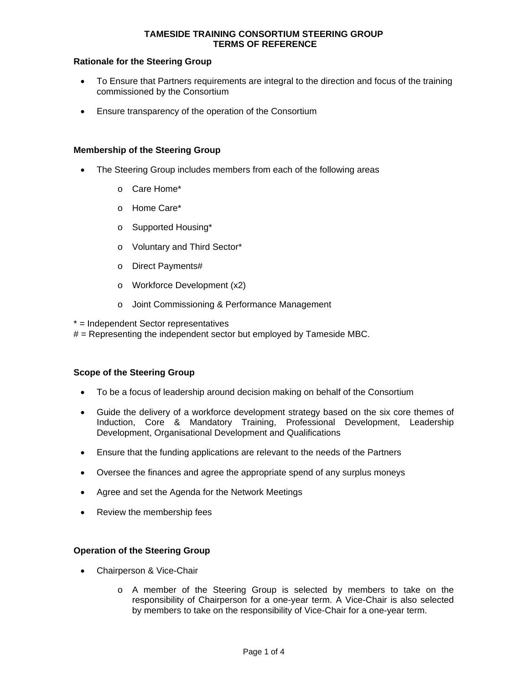## **Rationale for the Steering Group**

- To Ensure that Partners requirements are integral to the direction and focus of the training commissioned by the Consortium
- Ensure transparency of the operation of the Consortium

## **Membership of the Steering Group**

- The Steering Group includes members from each of the following areas
	- o Care Home\*
	- o Home Care\*
	- o Supported Housing\*
	- o Voluntary and Third Sector\*
	- o Direct Payments#
	- o Workforce Development (x2)
	- o Joint Commissioning & Performance Management

\* = Independent Sector representatives

 $#$  = Representing the independent sector but employed by Tameside MBC.

#### **Scope of the Steering Group**

- To be a focus of leadership around decision making on behalf of the Consortium
- Guide the delivery of a workforce development strategy based on the six core themes of Induction, Core & Mandatory Training, Professional Development, Leadership Development, Organisational Development and Qualifications
- Ensure that the funding applications are relevant to the needs of the Partners
- Oversee the finances and agree the appropriate spend of any surplus moneys
- Agree and set the Agenda for the Network Meetings
- Review the membership fees

#### **Operation of the Steering Group**

- Chairperson & Vice-Chair
	- o A member of the Steering Group is selected by members to take on the responsibility of Chairperson for a one-year term. A Vice-Chair is also selected by members to take on the responsibility of Vice-Chair for a one-year term.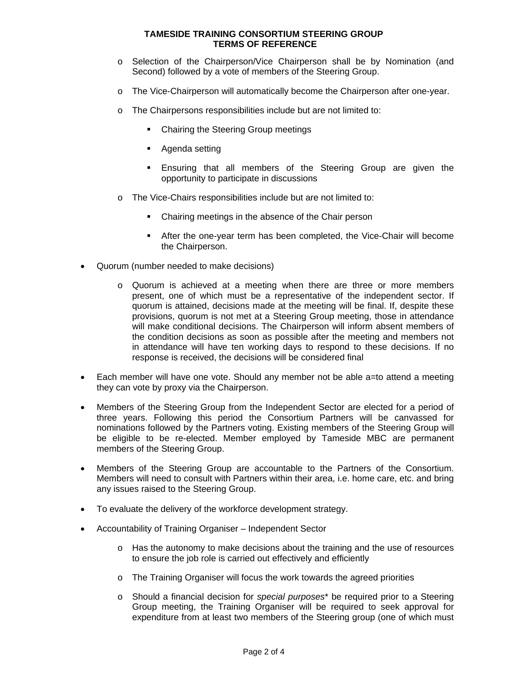- o Selection of the Chairperson/Vice Chairperson shall be by Nomination (and Second) followed by a vote of members of the Steering Group.
- o The Vice-Chairperson will automatically become the Chairperson after one-year.
- o The Chairpersons responsibilities include but are not limited to:
	- Chairing the Steering Group meetings
	- Agenda setting
	- Ensuring that all members of the Steering Group are given the opportunity to participate in discussions
- o The Vice-Chairs responsibilities include but are not limited to:
	- Chairing meetings in the absence of the Chair person
	- After the one-year term has been completed, the Vice-Chair will become the Chairperson.
- Quorum (number needed to make decisions)
	- o Quorum is achieved at a meeting when there are three or more members present, one of which must be a representative of the independent sector. If quorum is attained, decisions made at the meeting will be final. If, despite these provisions, quorum is not met at a Steering Group meeting, those in attendance will make conditional decisions. The Chairperson will inform absent members of the condition decisions as soon as possible after the meeting and members not in attendance will have ten working days to respond to these decisions. If no response is received, the decisions will be considered final
- Each member will have one vote. Should any member not be able a=to attend a meeting they can vote by proxy via the Chairperson.
- Members of the Steering Group from the Independent Sector are elected for a period of three years. Following this period the Consortium Partners will be canvassed for nominations followed by the Partners voting. Existing members of the Steering Group will be eligible to be re-elected. Member employed by Tameside MBC are permanent members of the Steering Group.
- Members of the Steering Group are accountable to the Partners of the Consortium. Members will need to consult with Partners within their area, i.e. home care, etc. and bring any issues raised to the Steering Group.
- To evaluate the delivery of the workforce development strategy.
- Accountability of Training Organiser Independent Sector
	- $\circ$  Has the autonomy to make decisions about the training and the use of resources to ensure the job role is carried out effectively and efficiently
	- o The Training Organiser will focus the work towards the agreed priorities
	- o Should a financial decision for *special purposes*\* be required prior to a Steering Group meeting, the Training Organiser will be required to seek approval for expenditure from at least two members of the Steering group (one of which must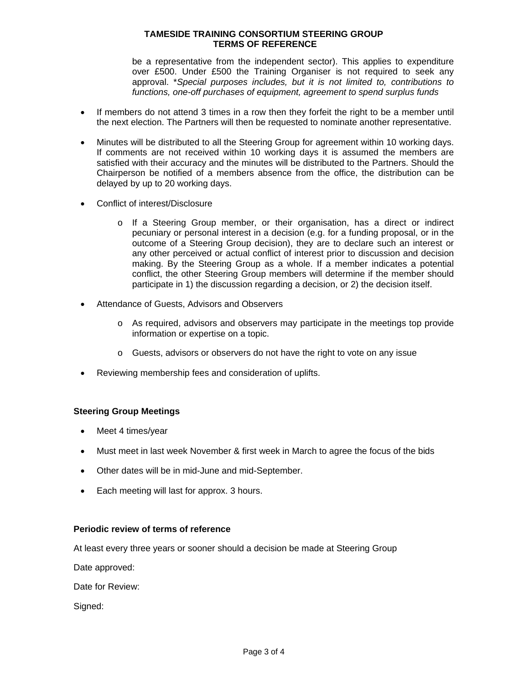be a representative from the independent sector). This applies to expenditure over £500. Under £500 the Training Organiser is not required to seek any approval. \**Special purposes includes, but it is not limited to, contributions to functions, one-off purchases of equipment, agreement to spend surplus funds* 

- If members do not attend 3 times in a row then they forfeit the right to be a member until the next election. The Partners will then be requested to nominate another representative.
- Minutes will be distributed to all the Steering Group for agreement within 10 working days. If comments are not received within 10 working days it is assumed the members are satisfied with their accuracy and the minutes will be distributed to the Partners. Should the Chairperson be notified of a members absence from the office, the distribution can be delayed by up to 20 working days.
- Conflict of interest/Disclosure
	- o If a Steering Group member, or their organisation, has a direct or indirect pecuniary or personal interest in a decision (e.g. for a funding proposal, or in the outcome of a Steering Group decision), they are to declare such an interest or any other perceived or actual conflict of interest prior to discussion and decision making. By the Steering Group as a whole. If a member indicates a potential conflict, the other Steering Group members will determine if the member should participate in 1) the discussion regarding a decision, or 2) the decision itself.
- Attendance of Guests, Advisors and Observers
	- o As required, advisors and observers may participate in the meetings top provide information or expertise on a topic.
	- o Guests, advisors or observers do not have the right to vote on any issue
- Reviewing membership fees and consideration of uplifts.

# **Steering Group Meetings**

- Meet 4 times/year
- Must meet in last week November & first week in March to agree the focus of the bids
- Other dates will be in mid-June and mid-September.
- Each meeting will last for approx. 3 hours.

#### **Periodic review of terms of reference**

At least every three years or sooner should a decision be made at Steering Group

Date approved:

Date for Review:

Signed: